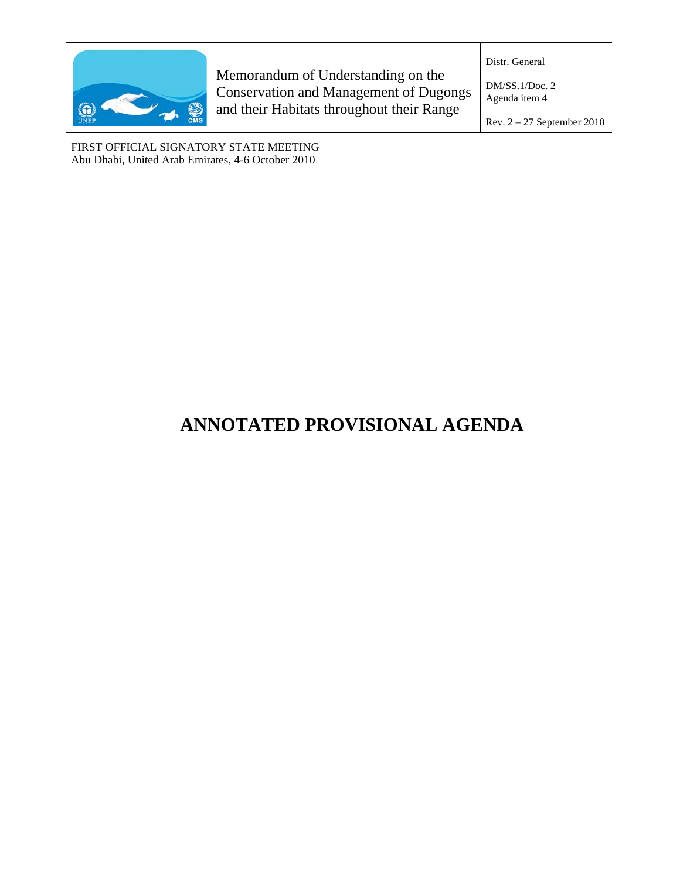

Memorandum of Understanding on the Conservation and Management of Dugongs and their Habitats throughout their Range

Distr. General

DM/SS.1/Doc. 2 Agenda item 4

Rev. 2 – 27 September 2010

FIRST OFFICIAL SIGNATORY STATE MEETING Abu Dhabi, United Arab Emirates, 4-6 October 2010

# **ANNOTATED PROVISIONAL AGENDA**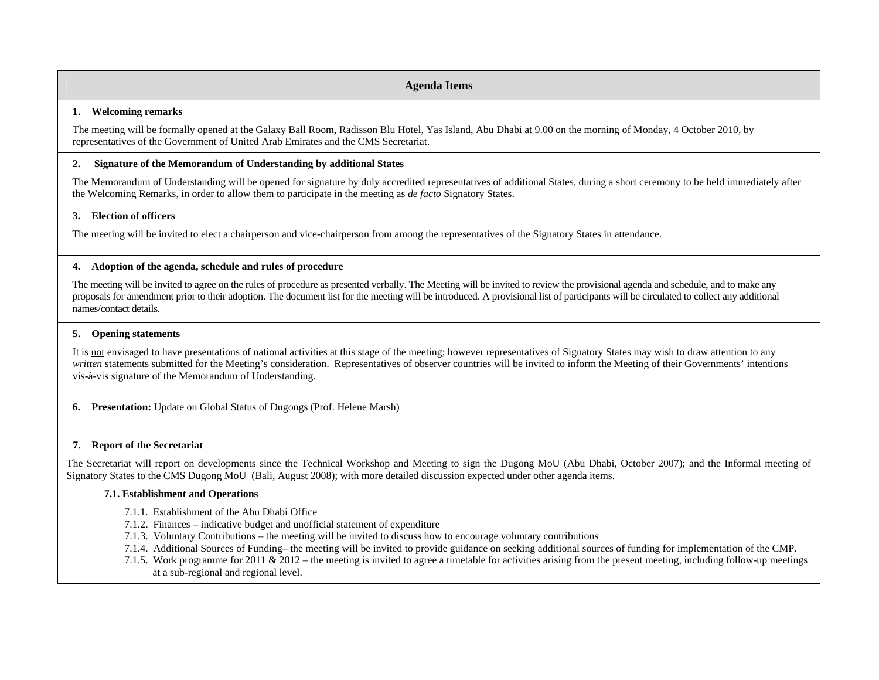### **Agenda Items**

### **1. Welcoming remarks**

The meeting will be formally opened at the Galaxy Ball Room, Radisson Blu Hotel, Yas Island, Abu Dhabi at 9.00 on the morning of Monday, 4 October 2010, by representatives of the Government of United Arab Emirates and the CMS Secretariat.

### **2. Signature of the Memorandum of Understanding by additional States**

The Memorandum of Understanding will be opened for signature by duly accredited representatives of additional States, during a short ceremony to be held immediately after the Welcoming Remarks, in order to allow them to participate in the meeting as *de facto* Signatory States.

### **3. Election of officers**

The meeting will be invited to elect a chairperson and vice-chairperson from among the representatives of the Signatory States in attendance.

### **4. Adoption of the agenda, schedule and rules of procedure**

The meeting will be invited to agree on the rules of procedure as presented verbally. The Meeting will be invited to review the provisional agenda and schedule, and to make any proposals for amendment prior to their adoption. The document list for the meeting will be introduced. A provisional list of participants will be circulated to collect any additional names/contact details.

# **5. Opening statements**

It is not envisaged to have presentations of national activities at this stage of the meeting; however representatives of Signatory States may wish to draw attention to any *written* statements submitted for the Meeting's consideration. Representatives of observer countries will be invited to inform the Meeting of their Governments' intentions vis-à-vis signature of the Memorandum of Understanding.

**6. Presentation:** Update on Global Status of Dugongs (Prof. Helene Marsh)

# **7. Report of the Secretariat**

The Secretariat will report on developments since the Technical Workshop and Meeting to sign the Dugong MoU (Abu Dhabi, October 2007); and the Informal meeting of Signatory States to the CMS Dugong MoU (Bali, August 2008); with more detailed discussion expected under other agenda items.

# **7.1. Establishment and Operations**

- 7.1.1. Establishment of the Abu Dhabi Office
- 7.1.2. Finances indicative budget and unofficial statement of expenditure
- 7.1.3. Voluntary Contributions the meeting will be invited to discuss how to encourage voluntary contributions
- 7.1.4. Additional Sources of Funding– the meeting will be invited to provide guidance on seeking additional sources of funding for implementation of the CMP.
- 7.1.5. Work programme for 2011 & 2012 the meeting is invited to agree a timetable for activities arising from the present meeting, including follow-up meetings at a sub-regional and regional level.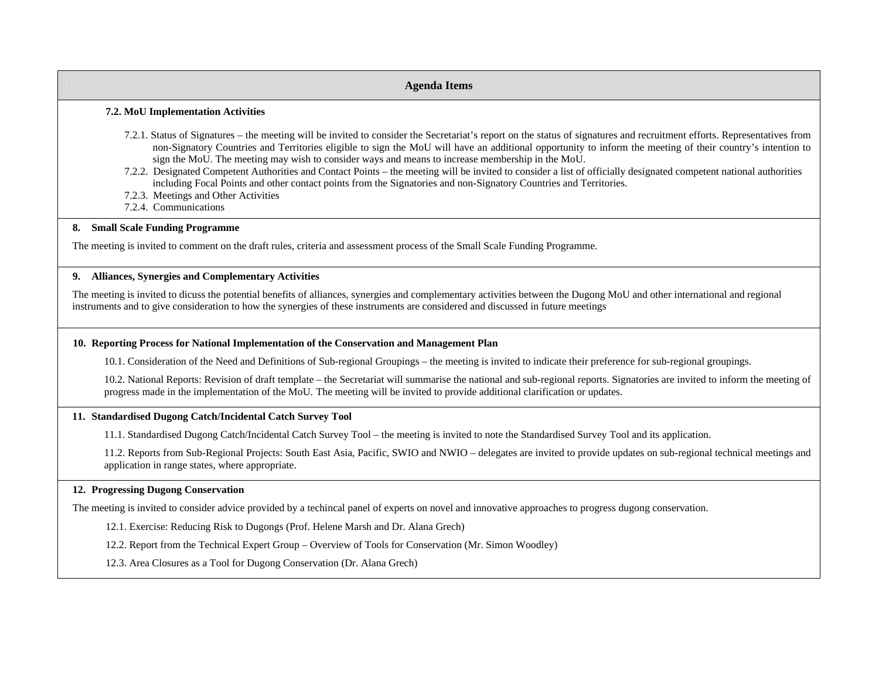# **Agenda Items 7.2. MoU Implementation Activities**  7.2.1. Status of Signatures – the meeting will be invited to consider the Secretariat's report on the status of signatures and recruitment efforts. Representatives from non-Signatory Countries and Territories eligible to sign the MoU will have an additional opportunity to inform the meeting of their country's intention to sign the MoU. The meeting may wish to consider ways and means to increase membership in the MoU. 7.2.2. Designated Competent Authorities and Contact Points – the meeting will be invited to consider a list of officially designated competent national authorities including Focal Points and other contact points from the Signatories and non-Signatory Countries and Territories. 7.2.3. Meetings and Other Activities 7.2.4. Communications **8. Small Scale Funding Programme**  The meeting is invited to comment on the draft rules, criteria and assessment process of the Small Scale Funding Programme. **9. Alliances, Synergies and Complementary Activities**

The meeting is invited to dicuss the potential benefits of alliances, synergies and complementary activities between the Dugong MoU and other international and regional instruments and to give consideration to how the synergies of these instruments are considered and discussed in future meetings

# **10. Reporting Process for National Implementation of the Conservation and Management Plan**

10.1. Consideration of the Need and Definitions of Sub-regional Groupings – the meeting is invited to indicate their preference for sub-regional groupings.

10.2. National Reports: Revision of draft template – the Secretariat will summarise the national and sub-regional reports. Signatories are invited to inform the meeting of progress made in the implementation of the MoU. The meeting will be invited to provide additional clarification or updates.

# **11. Standardised Dugong Catch/Incidental Catch Survey Tool**

11.1. Standardised Dugong Catch/Incidental Catch Survey Tool – the meeting is invited to note the Standardised Survey Tool and its application.

11.2. Reports from Sub-Regional Projects: South East Asia, Pacific, SWIO and NWIO – delegates are invited to provide updates on sub-regional technical meetings and application in range states, where appropriate.

# **12. Progressing Dugong Conservation**

The meeting is invited to consider advice provided by a techincal panel of experts on novel and innovative approaches to progress dugong conservation.

12.1. Exercise: Reducing Risk to Dugongs (Prof. Helene Marsh and Dr. Alana Grech)

12.2. Report from the Technical Expert Group – Overview of Tools for Conservation (Mr. Simon Woodley)

12.3. Area Closures as a Tool for Dugong Conservation (Dr. Alana Grech)